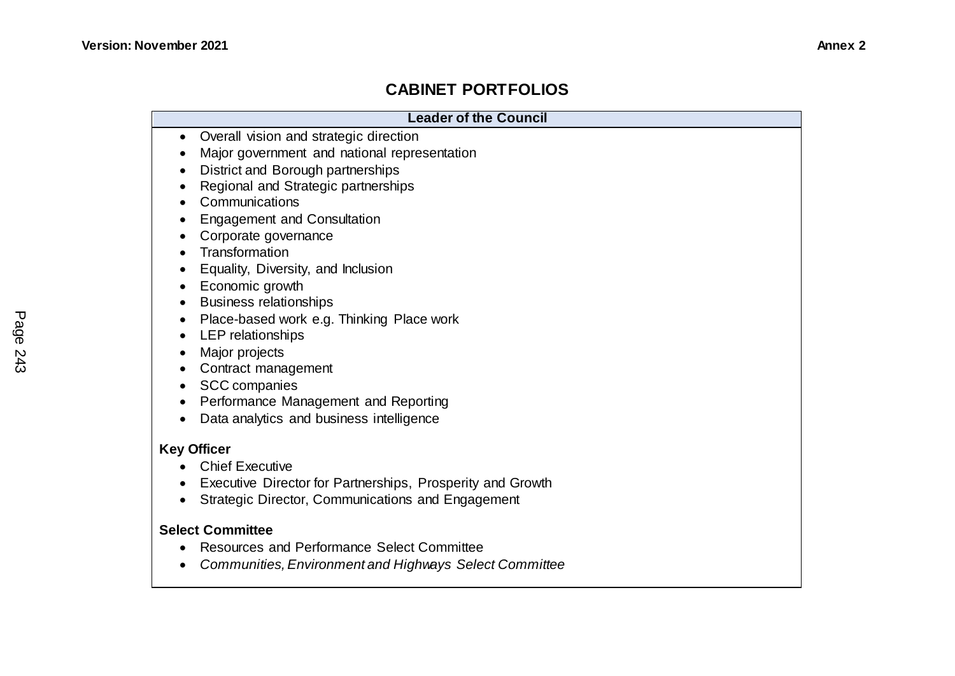## **CABINET PORTFOLIOS**

| <b>Leader of the Council</b>                                                                                                                                                                                                                                                                                                                                                                                                                                                                                                                                                                                                                                                                                                                                   |
|----------------------------------------------------------------------------------------------------------------------------------------------------------------------------------------------------------------------------------------------------------------------------------------------------------------------------------------------------------------------------------------------------------------------------------------------------------------------------------------------------------------------------------------------------------------------------------------------------------------------------------------------------------------------------------------------------------------------------------------------------------------|
| Overall vision and strategic direction<br>$\bullet$<br>Major government and national representation<br>District and Borough partnerships<br>$\bullet$<br>Regional and Strategic partnerships<br>Communications<br>$\bullet$<br><b>Engagement and Consultation</b><br>Corporate governance<br>$\bullet$<br>Transformation<br>$\bullet$<br>Equality, Diversity, and Inclusion<br>$\bullet$<br>Economic growth<br>$\bullet$<br><b>Business relationships</b><br>$\bullet$<br>Place-based work e.g. Thinking Place work<br>$\bullet$<br>LEP relationships<br>Major projects<br>$\bullet$<br>Contract management<br>$\bullet$<br><b>SCC</b> companies<br>$\bullet$<br>Performance Management and Reporting<br>$\bullet$<br>Data analytics and business intelligence |
| <b>Key Officer</b><br><b>Chief Executive</b><br>Executive Director for Partnerships, Prosperity and Growth<br>Strategic Director, Communications and Engagement<br><b>Select Committee</b><br><b>Resources and Performance Select Committee</b><br>Communities, Environment and Highways Select Committee                                                                                                                                                                                                                                                                                                                                                                                                                                                      |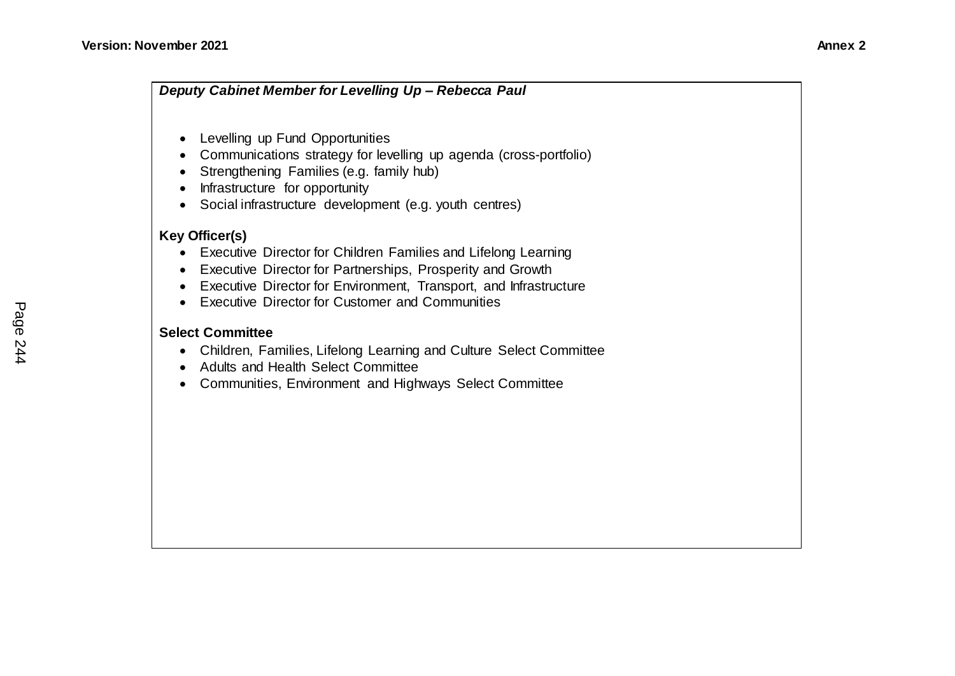- Levelling up Fund Opportunities
- Communications strategy for levelling up agenda (cross-portfolio)
- Strengthening Families (e.g. family hub)
- Infrastructure for opportunity
- Social infrastructure development (e.g. youth centres)

## **Key Officer(s)**

- Executive Director for Children Families and Lifelong Learning
- Executive Director for Partnerships, Prosperity and Growth
- Executive Director for Environment, Transport, and Infrastructure
- Executive Director for Customer and Communities

## **Select Committee**

- Children, Families, Lifelong Learning and Culture Select Committee
- Adults and Health Select Committee
- Communities, Environment and Highways Select Committee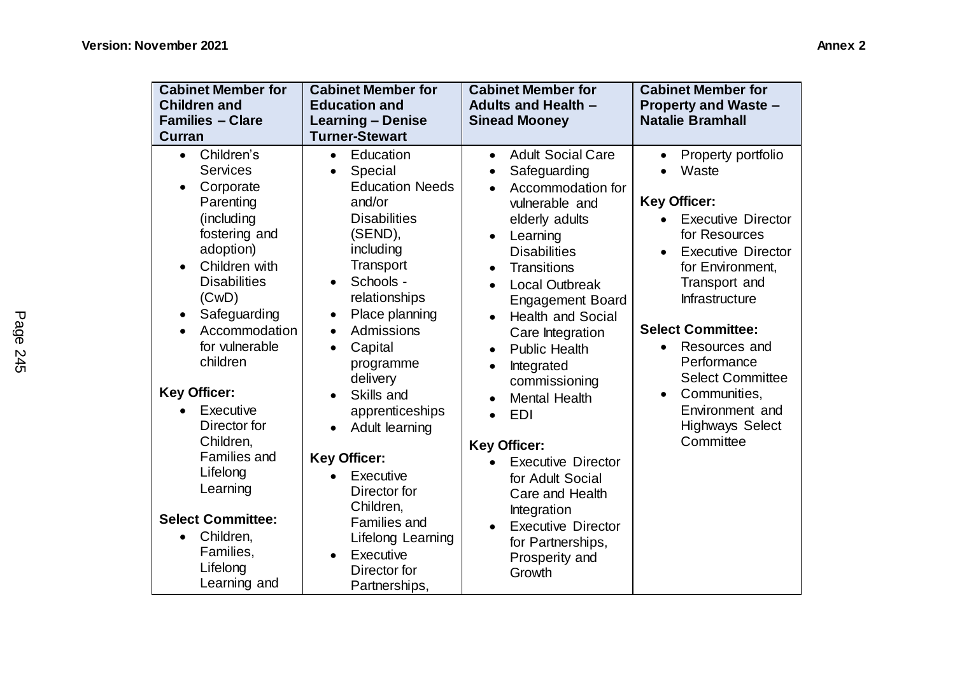| <b>Cabinet Member for</b><br><b>Children and</b><br><b>Families - Clare</b><br>Curran                                                                                                                                                                                                                                                                                                                                                                                          | <b>Cabinet Member for</b><br><b>Education and</b><br><b>Learning - Denise</b><br><b>Turner-Stewart</b>                                                                                                                                                                                                                                                                                                                                                                                                                  | <b>Cabinet Member for</b><br><b>Adults and Health -</b><br><b>Sinead Mooney</b>                                                                                                                                                                                                                                                                                                                                                                                                                                                                                                                                                                                                      | <b>Cabinet Member for</b><br><b>Property and Waste -</b><br><b>Natalie Bramhall</b>                                                                                                                                                                                                                                                                                |
|--------------------------------------------------------------------------------------------------------------------------------------------------------------------------------------------------------------------------------------------------------------------------------------------------------------------------------------------------------------------------------------------------------------------------------------------------------------------------------|-------------------------------------------------------------------------------------------------------------------------------------------------------------------------------------------------------------------------------------------------------------------------------------------------------------------------------------------------------------------------------------------------------------------------------------------------------------------------------------------------------------------------|--------------------------------------------------------------------------------------------------------------------------------------------------------------------------------------------------------------------------------------------------------------------------------------------------------------------------------------------------------------------------------------------------------------------------------------------------------------------------------------------------------------------------------------------------------------------------------------------------------------------------------------------------------------------------------------|--------------------------------------------------------------------------------------------------------------------------------------------------------------------------------------------------------------------------------------------------------------------------------------------------------------------------------------------------------------------|
| Children's<br>$\bullet$<br><b>Services</b><br>Corporate<br>$\bullet$<br>Parenting<br>(including<br>fostering and<br>adoption)<br>Children with<br>$\bullet$<br><b>Disabilities</b><br>(CwD)<br>Safeguarding<br>٠<br>Accommodation<br>for vulnerable<br>children<br><b>Key Officer:</b><br>Executive<br>Director for<br>Children,<br><b>Families and</b><br>Lifelong<br>Learning<br><b>Select Committee:</b><br>Children,<br>$\bullet$<br>Families,<br>Lifelong<br>Learning and | Education<br>$\bullet$<br>Special<br>$\bullet$<br><b>Education Needs</b><br>and/or<br><b>Disabilities</b><br>(SEND),<br>including<br>Transport<br>Schools -<br>$\bullet$<br>relationships<br>Place planning<br>٠<br>Admissions<br>$\bullet$<br>Capital<br>$\bullet$<br>programme<br>delivery<br>Skills and<br>apprenticeships<br>Adult learning<br><b>Key Officer:</b><br>Executive<br>$\bullet$<br>Director for<br>Children,<br><b>Families and</b><br>Lifelong Learning<br>Executive<br>Director for<br>Partnerships, | <b>Adult Social Care</b><br>$\bullet$<br>Safeguarding<br>$\bullet$<br>Accommodation for<br>vulnerable and<br>elderly adults<br>Learning<br>$\bullet$<br><b>Disabilities</b><br>Transitions<br>$\bullet$<br><b>Local Outbreak</b><br><b>Engagement Board</b><br><b>Health and Social</b><br>$\bullet$<br>Care Integration<br><b>Public Health</b><br>$\bullet$<br>Integrated<br>$\bullet$<br>commissioning<br><b>Mental Health</b><br>$\bullet$<br>EDI<br>$\bullet$<br><b>Key Officer:</b><br><b>Executive Director</b><br>$\bullet$<br>for Adult Social<br>Care and Health<br>Integration<br><b>Executive Director</b><br>$\bullet$<br>for Partnerships,<br>Prosperity and<br>Growth | Property portfolio<br>Waste<br><b>Key Officer:</b><br><b>Executive Director</b><br>for Resources<br><b>Executive Director</b><br>for Environment,<br>Transport and<br>Infrastructure<br><b>Select Committee:</b><br>Resources and<br>Performance<br><b>Select Committee</b><br>Communities,<br>$\bullet$<br>Environment and<br><b>Highways Select</b><br>Committee |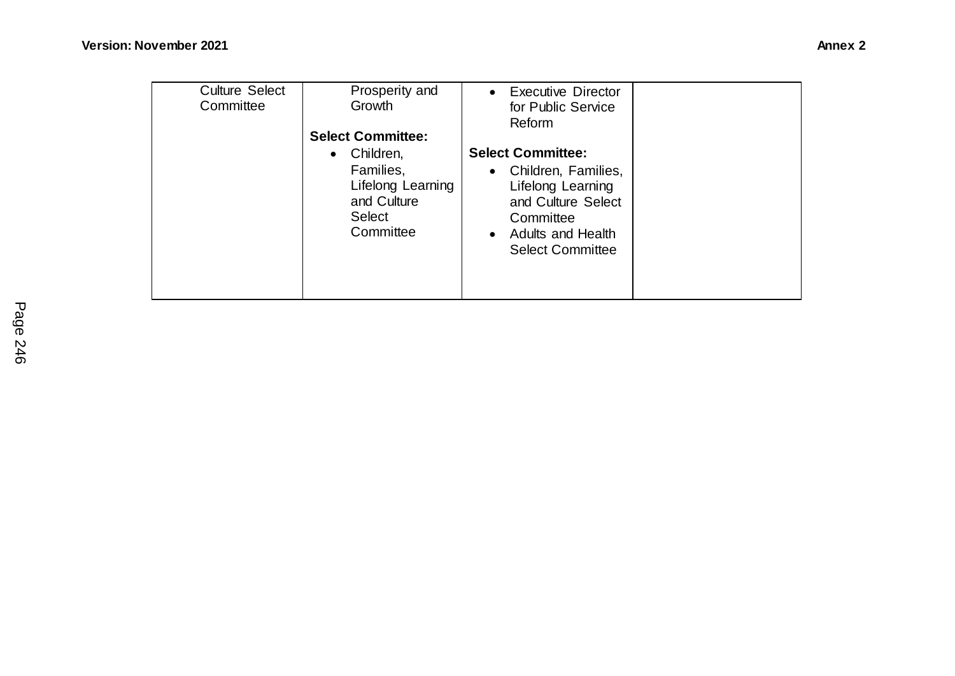| <b>Culture Select</b> | Prosperity and                                                       | <b>Executive Director</b><br>$\bullet$                                                                                          |  |
|-----------------------|----------------------------------------------------------------------|---------------------------------------------------------------------------------------------------------------------------------|--|
| Committee             | Growth                                                               | for Public Service                                                                                                              |  |
|                       |                                                                      | Reform                                                                                                                          |  |
|                       | <b>Select Committee:</b>                                             |                                                                                                                                 |  |
|                       | Children,<br>$\bullet$                                               | <b>Select Committee:</b>                                                                                                        |  |
|                       | Families,<br>Lifelong Learning<br>and Culture<br>Select<br>Committee | • Children, Families,<br>Lifelong Learning<br>and Culture Select<br>Committee<br>• Adults and Health<br><b>Select Committee</b> |  |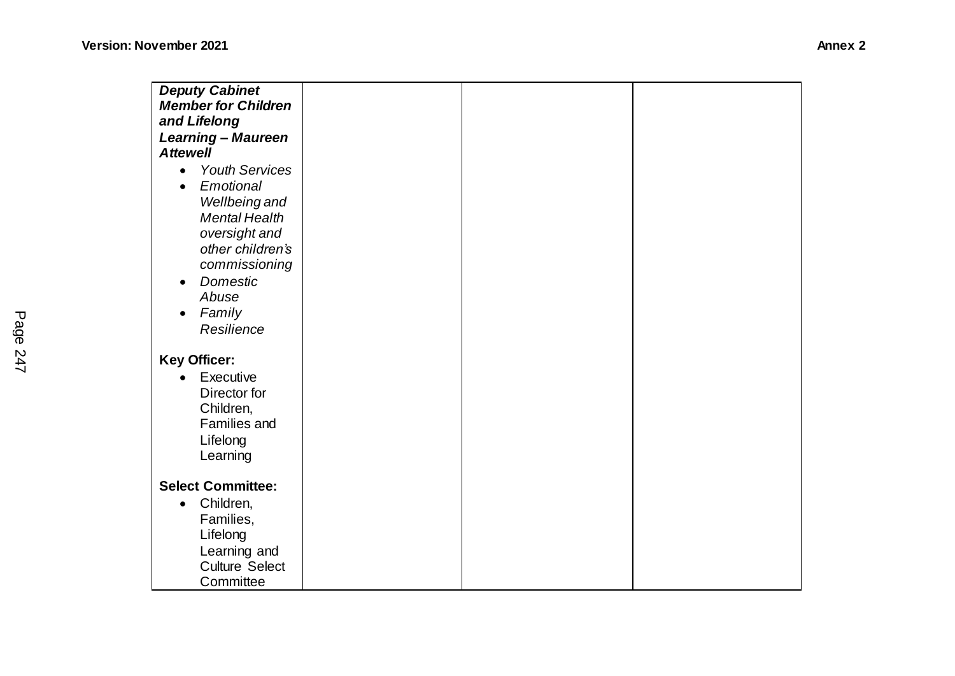| <b>Deputy Cabinet</b>              |  |  |
|------------------------------------|--|--|
| <b>Member for Children</b>         |  |  |
|                                    |  |  |
| and Lifelong                       |  |  |
| <b>Learning - Maureen</b>          |  |  |
| <b>Attewell</b>                    |  |  |
| <b>Youth Services</b><br>$\bullet$ |  |  |
| Emotional<br>$\bullet$             |  |  |
| Wellbeing and                      |  |  |
| <b>Mental Health</b>               |  |  |
| oversight and                      |  |  |
| other children's                   |  |  |
| commissioning                      |  |  |
| Domestic<br>$\bullet$              |  |  |
| Abuse                              |  |  |
| Family<br>$\bullet$                |  |  |
| Resilience                         |  |  |
|                                    |  |  |
| <b>Key Officer:</b>                |  |  |
| Executive<br>$\bullet$             |  |  |
|                                    |  |  |
| Director for                       |  |  |
| Children,                          |  |  |
| <b>Families and</b>                |  |  |
| Lifelong                           |  |  |
| Learning                           |  |  |
|                                    |  |  |
| <b>Select Committee:</b>           |  |  |
| Children,<br>$\bullet$             |  |  |
| Families,                          |  |  |
| Lifelong                           |  |  |
| Learning and                       |  |  |
| <b>Culture Select</b>              |  |  |
| Committee                          |  |  |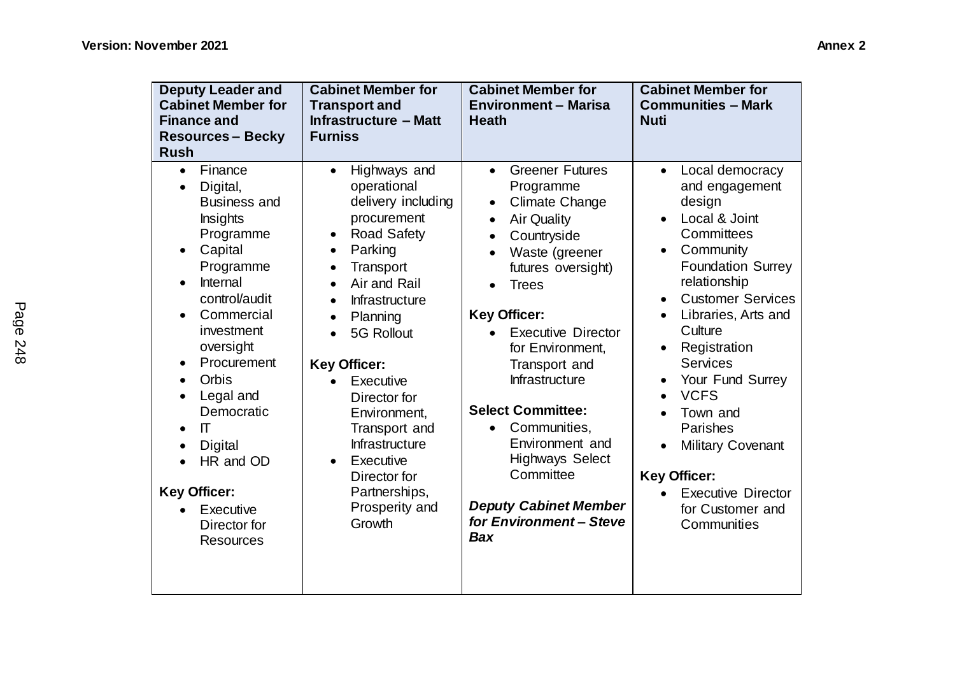| <b>Deputy Leader and</b><br><b>Cabinet Member for</b><br><b>Finance and</b><br><b>Resources - Becky</b><br><b>Rush</b>                                                                                                                                                                                                                                                                                                         | <b>Cabinet Member for</b><br><b>Transport and</b><br><b>Infrastructure - Matt</b><br><b>Furniss</b>                                                                                                                                                                                                                                                                                                                                                                 | <b>Cabinet Member for</b><br><b>Environment - Marisa</b><br><b>Heath</b>                                                                                                                                                                                                                                                                                                                                                                                                                                                 | <b>Cabinet Member for</b><br><b>Communities - Mark</b><br><b>Nuti</b>                                                                                                                                                                                                                                                                                                                                                                                     |
|--------------------------------------------------------------------------------------------------------------------------------------------------------------------------------------------------------------------------------------------------------------------------------------------------------------------------------------------------------------------------------------------------------------------------------|---------------------------------------------------------------------------------------------------------------------------------------------------------------------------------------------------------------------------------------------------------------------------------------------------------------------------------------------------------------------------------------------------------------------------------------------------------------------|--------------------------------------------------------------------------------------------------------------------------------------------------------------------------------------------------------------------------------------------------------------------------------------------------------------------------------------------------------------------------------------------------------------------------------------------------------------------------------------------------------------------------|-----------------------------------------------------------------------------------------------------------------------------------------------------------------------------------------------------------------------------------------------------------------------------------------------------------------------------------------------------------------------------------------------------------------------------------------------------------|
| Finance<br>$\bullet$<br>Digital,<br>$\bullet$<br><b>Business and</b><br><b>Insights</b><br>Programme<br>Capital<br>$\bullet$<br>Programme<br>Internal<br>$\bullet$<br>control/audit<br>Commercial<br>$\bullet$<br>investment<br>oversight<br>Procurement<br>٠<br>Orbis<br>Legal and<br>Democratic<br>$\Pi$<br>$\bullet$<br><b>Digital</b><br>HR and OD<br><b>Key Officer:</b><br>Executive<br>Director for<br><b>Resources</b> | Highways and<br>$\bullet$<br>operational<br>delivery including<br>procurement<br><b>Road Safety</b><br>Parking<br>$\bullet$<br>Transport<br>$\bullet$<br>Air and Rail<br>$\bullet$<br>Infrastructure<br>$\bullet$<br>Planning<br>$\bullet$<br>5G Rollout<br>$\bullet$<br><b>Key Officer:</b><br>Executive<br>Director for<br>Environment,<br>Transport and<br>Infrastructure<br>Executive<br>$\bullet$<br>Director for<br>Partnerships,<br>Prosperity and<br>Growth | <b>Greener Futures</b><br>$\bullet$<br>Programme<br>Climate Change<br>$\bullet$<br><b>Air Quality</b><br>$\bullet$<br>Countryside<br>$\bullet$<br>Waste (greener<br>$\bullet$<br>futures oversight)<br><b>Trees</b><br><b>Key Officer:</b><br><b>Executive Director</b><br>for Environment,<br>Transport and<br>Infrastructure<br><b>Select Committee:</b><br>Communities,<br>$\bullet$<br>Environment and<br><b>Highways Select</b><br>Committee<br><b>Deputy Cabinet Member</b><br>for Environment-Steve<br><b>Bax</b> | Local democracy<br>$\bullet$<br>and engagement<br>design<br>Local & Joint<br>Committees<br>Community<br>$\bullet$<br><b>Foundation Surrey</b><br>relationship<br><b>Customer Services</b><br>Libraries, Arts and<br>Culture<br>Registration<br><b>Services</b><br>Your Fund Surrey<br><b>VCFS</b><br>$\bullet$<br>Town and<br>Parishes<br><b>Military Covenant</b><br><b>Key Officer:</b><br><b>Executive Director</b><br>for Customer and<br>Communities |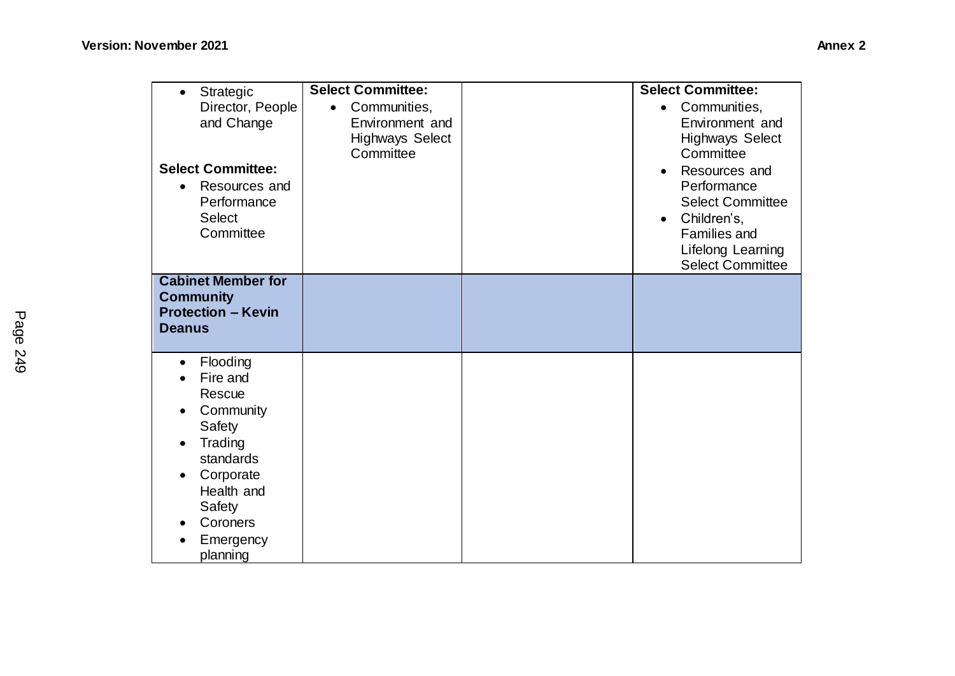| Strategic<br>$\bullet$<br>Director, People<br>and Change<br><b>Select Committee:</b><br>Resources and<br>$\bullet$<br>Performance<br><b>Select</b><br>Committee                                             | <b>Select Committee:</b><br>Communities,<br>$\bullet$<br>Environment and<br><b>Highways Select</b><br>Committee | <b>Select Committee:</b><br>Communities,<br>$\bullet$<br>Environment and<br><b>Highways Select</b><br>Committee<br>Resources and<br>$\bullet$<br>Performance<br><b>Select Committee</b><br>Children's,<br>$\bullet$<br><b>Families and</b><br>Lifelong Learning<br><b>Select Committee</b> |
|-------------------------------------------------------------------------------------------------------------------------------------------------------------------------------------------------------------|-----------------------------------------------------------------------------------------------------------------|--------------------------------------------------------------------------------------------------------------------------------------------------------------------------------------------------------------------------------------------------------------------------------------------|
| <b>Cabinet Member for</b><br><b>Community</b><br><b>Protection - Kevin</b><br><b>Deanus</b>                                                                                                                 |                                                                                                                 |                                                                                                                                                                                                                                                                                            |
| Flooding<br>$\bullet$<br>Fire and<br>Rescue<br>Community<br>$\bullet$<br>Safety<br>Trading<br>$\bullet$<br>standards<br>Corporate<br>Health and<br>Safety<br>Coroners<br>$\bullet$<br>Emergency<br>planning |                                                                                                                 |                                                                                                                                                                                                                                                                                            |